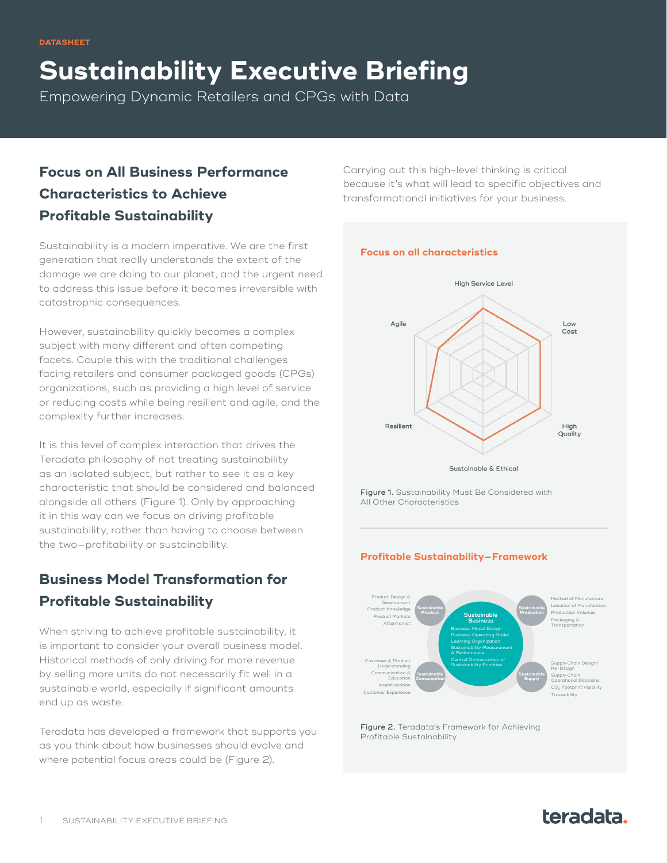**Sustainability Executive Briefing**

Empowering Dynamic Retailers and CPGs with Data

# **Focus on All Business Performance Characteristics to Achieve Profitable Sustainability**

Sustainability is a modern imperative. We are the first generation that really understands the extent of the damage we are doing to our planet, and the urgent need to address this issue before it becomes irreversible with catastrophic consequences.

However, sustainability quickly becomes a complex subject with many different and often competing facets. Couple this with the traditional challenges facing retailers and consumer packaged goods (CPGs) organizations, such as providing a high level of service or reducing costs while being resilient and agile, and the complexity further increases.

It is this level of complex interaction that drives the Teradata philosophy of not treating sustainability as an isolated subject, but rather to see it as a key characteristic that should be considered and balanced alongside all others (Figure 1). Only by approaching it in this way can we focus on driving profitable sustainability, rather than having to choose between the two—profitability or sustainability.

# **Business Model Transformation for Profitable Sustainability**

When striving to achieve profitable sustainability, it is important to consider your overall business model. Historical methods of only driving for more revenue by selling more units do not necessarily fit well in a sustainable world, especially if significant amounts end up as waste.

Teradata has developed a framework that supports you as you think about how businesses should evolve and where potential focus areas could be (Figure 2).

Carrying out this high-level thinking is critical because it's what will lead to specific objectives and transformational initiatives for your business.

#### **Focus on all characteristics**



Sustainable & Ethical

Figure 1. Sustainability Must Be Considered with All Other Characteristics

### **Profitable Sustainability—Framework**



Figure 2. Teradata's Framework for Achieving Profitable Sustainability

# teradata.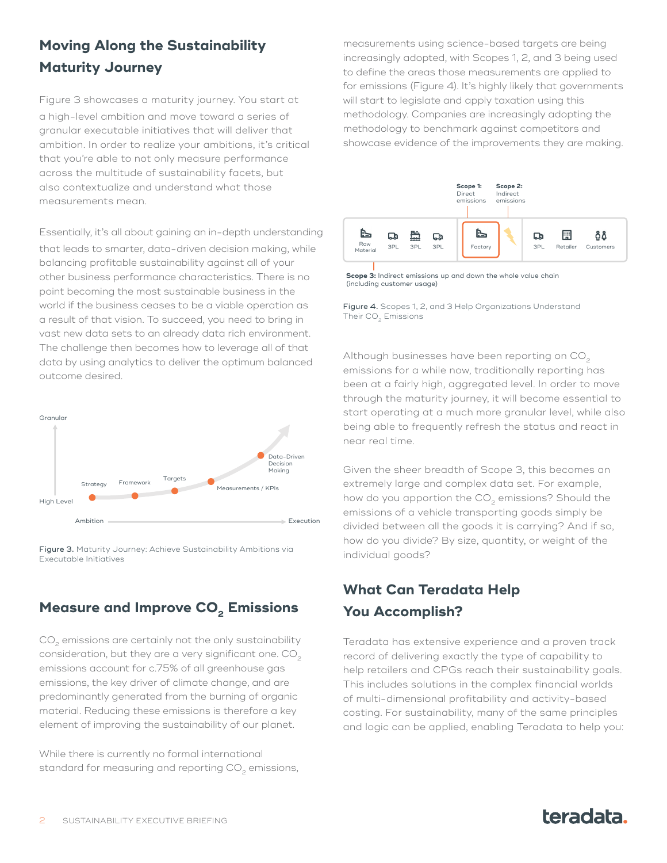# **Moving Along the Sustainability Maturity Journey**

Figure 3 showcases a maturity journey. You start at a high-level ambition and move toward a series of granular executable initiatives that will deliver that ambition. In order to realize your ambitions, it's critical that you're able to not only measure performance across the multitude of sustainability facets, but also contextualize and understand what those measurements mean.

Essentially, it's all about gaining an in-depth understanding that leads to smarter, data-driven decision making, while balancing profitable sustainability against all of your other business performance characteristics. There is no point becoming the most sustainable business in the world if the business ceases to be a viable operation as a result of that vision. To succeed, you need to bring in vast new data sets to an already data rich environment. The challenge then becomes how to leverage all of that data by using analytics to deliver the optimum balanced outcome desired.



Figure 3. Maturity Journey: Achieve Sustainability Ambitions via Executable Initiatives

## **Measure and Improve CO<sub>2</sub> Emissions**

CO<sub>2</sub> emissions are certainly not the only sustainability consideration, but they are a very significant one. CO<sub>2</sub> emissions account for c.75% of all greenhouse gas emissions, the key driver of climate change, and are predominantly generated from the burning of organic material. Reducing these emissions is therefore a key element of improving the sustainability of our planet.

While there is currently no formal international standard for measuring and reporting CO<sub>2</sub> emissions, measurements using science-based targets are being increasingly adopted, with Scopes 1, 2, and 3 being used to define the areas those measurements are applied to for emissions (Figure 4). It's highly likely that governments will start to legislate and apply taxation using this methodology. Companies are increasingly adopting the methodology to benchmark against competitors and showcase evidence of the improvements they are making.



**Scope 3:** Indirect emissions up and down the whole value chain (including customer usage)

Figure 4. Scopes 1, 2, and 3 Help Organizations Understand Their CO<sub>2</sub> Emissions

Although businesses have been reporting on CO<sub>2</sub> emissions for a while now, traditionally reporting has been at a fairly high, aggregated level. In order to move through the maturity journey, it will become essential to start operating at a much more granular level, while also being able to frequently refresh the status and react in near real time.

Given the sheer breadth of Scope 3, this becomes an extremely large and complex data set. For example, how do you apportion the  $CO<sub>2</sub>$  emissions? Should the emissions of a vehicle transporting goods simply be divided between all the goods it is carrying? And if so, how do you divide? By size, quantity, or weight of the individual goods?

## **What Can Teradata Help You Accomplish?**

Teradata has extensive experience and a proven track record of delivering exactly the type of capability to help retailers and CPGs reach their sustainability goals. This includes solutions in the complex financial worlds of multi-dimensional profitability and activity-based costing. For sustainability, many of the same principles and logic can be applied, enabling Teradata to help you: